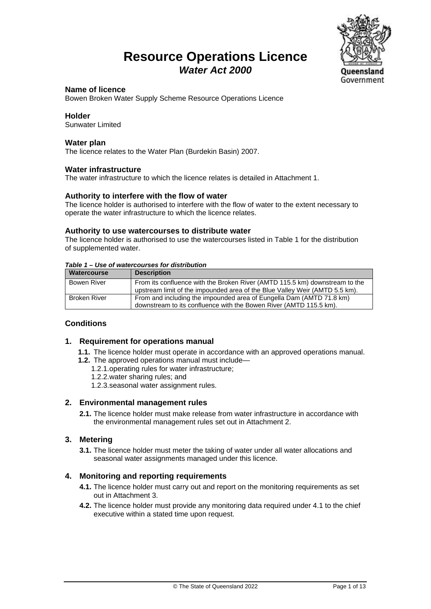### **Resource Operations Licence** *Water Act 2000*



#### **Name of licence**

Bowen Broken Water Supply Scheme Resource Operations Licence

#### **Holder**

Sunwater Limited

#### **Water plan**

The licence relates to the Water Plan (Burdekin Basin) 2007.

#### **Water infrastructure**

The water infrastructure to which the licence relates is detailed in Attachment 1.

#### **Authority to interfere with the flow of water**

The licence holder is authorised to interfere with the flow of water to the extent necessary to operate the water infrastructure to which the licence relates.

#### **Authority to use watercourses to distribute water**

The licence holder is authorised to use the watercourses listed in Table 1 for the distribution of supplemented water.

#### *Table 1 – Use of watercourses for distribution*

| Watercourse         | <b>Description</b>                                                                                                                                         |
|---------------------|------------------------------------------------------------------------------------------------------------------------------------------------------------|
| Bowen River         | From its confluence with the Broken River (AMTD 115.5 km) downstream to the<br>upstream limit of the impounded area of the Blue Valley Weir (AMTD 5.5 km). |
| <b>Broken River</b> | From and including the impounded area of Eungella Dam (AMTD 71.8 km)<br>downstream to its confluence with the Bowen River (AMTD 115.5 km).                 |

#### **Conditions**

#### **1. Requirement for operations manual**

- **1.1.** The licence holder must operate in accordance with an approved operations manual.
- **1.2.** The approved operations manual must include—
	- 1.2.1.operating rules for water infrastructure;
		- 1.2.2.water sharing rules; and
	- 1.2.3.seasonal water assignment rules.

#### **2. Environmental management rules**

**2.1.** The licence holder must make release from water infrastructure in accordance with the environmental management rules set out in Attachment 2.

#### **3. Metering**

**3.1.** The licence holder must meter the taking of water under all water allocations and seasonal water assignments managed under this licence.

#### **4. Monitoring and reporting requirements**

- **4.1.** The licence holder must carry out and report on the monitoring requirements as set out in Attachment 3.
- **4.2.** The licence holder must provide any monitoring data required under 4.1 to the chief executive within a stated time upon request.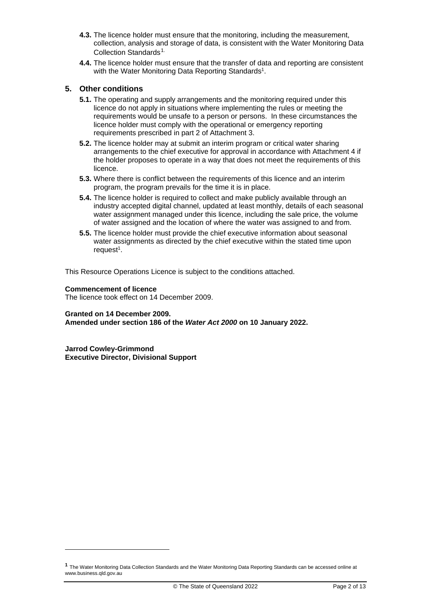- **4.3.** The licence holder must ensure that the monitoring, including the measurement, collection, analysis and storage of data, is consistent with the Water Monitoring Data Collection Standards<sup>[1](#page-1-0).</sup>
- **4.4.** The licence holder must ensure that the transfer of data and reporting are consistent with the Water Monitoring Data Reporting Standards<sup>1</sup>.

#### **5. Other conditions**

- **5.1.** The operating and supply arrangements and the monitoring required under this licence do not apply in situations where implementing the rules or meeting the requirements would be unsafe to a person or persons. In these circumstances the licence holder must comply with the operational or emergency reporting requirements prescribed in part 2 of Attachment 3.
- **5.2.** The licence holder may at submit an interim program or critical water sharing arrangements to the chief executive for approval in accordance with Attachment 4 if the holder proposes to operate in a way that does not meet the requirements of this licence.
- **5.3.** Where there is conflict between the requirements of this licence and an interim program, the program prevails for the time it is in place.
- **5.4.** The licence holder is required to collect and make publicly available through an industry accepted digital channel, updated at least monthly, details of each seasonal water assignment managed under this licence, including the sale price, the volume of water assigned and the location of where the water was assigned to and from.
- **5.5.** The licence holder must provide the chief executive information about seasonal water assignments as directed by the chief executive within the stated time upon request $1$ .

This Resource Operations Licence is subject to the conditions attached.

#### **Commencement of licence**

The licence took effect on 14 December 2009.

#### **Granted on 14 December 2009.**

**Amended under section 186 of the** *Water Act 2000* **on 10 January 2022.**

**Jarrod Cowley-Grimmond Executive Director, Divisional Support**

<span id="page-1-0"></span>**<sup>1</sup>** The Water Monitoring Data Collection Standards and the Water Monitoring Data Reporting Standards can be accessed online at www.business.qld.gov.au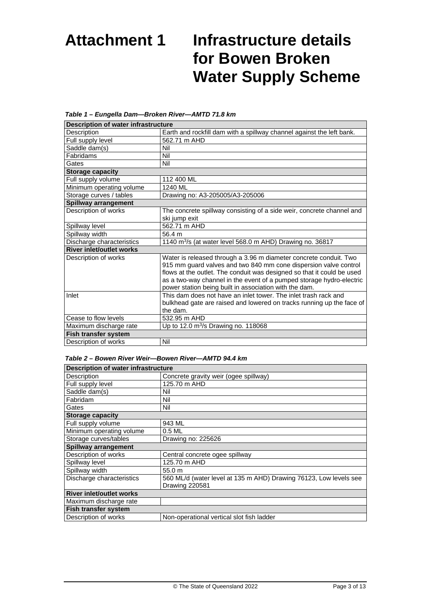# **Attachment 1 Infrastructure details for Bowen Broken Water Supply Scheme**

| <b>Description of water infrastructure</b> |                                                                                                                                       |  |
|--------------------------------------------|---------------------------------------------------------------------------------------------------------------------------------------|--|
| Description                                | Earth and rockfill dam with a spillway channel against the left bank.                                                                 |  |
| Full supply level                          | 562.71 m AHD                                                                                                                          |  |
| Saddle dam(s)                              | Nil                                                                                                                                   |  |
| Fabridams                                  | Nil                                                                                                                                   |  |
| Gates                                      | Nil                                                                                                                                   |  |
| <b>Storage capacity</b>                    |                                                                                                                                       |  |
| Full supply volume                         | 112 400 ML                                                                                                                            |  |
| Minimum operating volume                   | 1240 ML                                                                                                                               |  |
| Storage curves / tables                    | Drawing no: A3-205005/A3-205006                                                                                                       |  |
| Spillway arrangement                       |                                                                                                                                       |  |
| Description of works                       | The concrete spillway consisting of a side weir, concrete channel and                                                                 |  |
|                                            | ski jump exit                                                                                                                         |  |
| Spillway level                             | 562.71 m AHD                                                                                                                          |  |
| Spillway width                             | 56.4 m                                                                                                                                |  |
| Discharge characteristics                  | 1140 $\mathrm{m}^3$ /s (at water level 568.0 m AHD) Drawing no. 36817                                                                 |  |
| <b>River inlet/outlet works</b>            |                                                                                                                                       |  |
| Description of works                       | Water is released through a 3.96 m diameter concrete conduit. Two<br>915 mm guard valves and two 840 mm cone dispersion valve control |  |
|                                            | flows at the outlet. The conduit was designed so that it could be used                                                                |  |
|                                            | as a two-way channel in the event of a pumped storage hydro-electric                                                                  |  |
|                                            | power station being built in association with the dam.                                                                                |  |
| Inlet                                      | This dam does not have an inlet tower. The inlet trash rack and                                                                       |  |
|                                            | bulkhead gate are raised and lowered on tracks running up the face of                                                                 |  |
|                                            | the dam.                                                                                                                              |  |
| Cease to flow levels                       | 532.95 m AHD                                                                                                                          |  |
| Maximum discharge rate                     | Up to 12.0 $m^3/s$ Drawing no. 118068                                                                                                 |  |
| Fish transfer system                       |                                                                                                                                       |  |
| Description of works                       | Nil                                                                                                                                   |  |

#### *Table 1 – Eungella Dam—Broken River—AMTD 71.8 km*

#### *Table 2 – Bowen River Weir—Bowen River—AMTD 94.4 km*

| <b>Description of water infrastructure</b> |                                                                   |  |
|--------------------------------------------|-------------------------------------------------------------------|--|
| Description                                | Concrete gravity weir (ogee spillway)                             |  |
| Full supply level                          | 125.70 m AHD                                                      |  |
| Saddle dam(s)                              | Nil                                                               |  |
| Fabridam                                   | Nil                                                               |  |
| Gates                                      | Nil                                                               |  |
| <b>Storage capacity</b>                    |                                                                   |  |
| Full supply volume                         | 943 ML                                                            |  |
| Minimum operating volume                   | $0.5$ ML                                                          |  |
| Storage curves/tables                      | Drawing no: 225626                                                |  |
| Spillway arrangement                       |                                                                   |  |
| Description of works                       | Central concrete ogee spillway                                    |  |
| Spillway level                             | 125.70 m AHD                                                      |  |
| Spillway width                             | 55.0 m                                                            |  |
| Discharge characteristics                  | 560 ML/d (water level at 135 m AHD) Drawing 76123, Low levels see |  |
|                                            | Drawing 220581                                                    |  |
| <b>River inlet/outlet works</b>            |                                                                   |  |
| Maximum discharge rate                     |                                                                   |  |
| <b>Fish transfer system</b>                |                                                                   |  |
| Description of works                       | Non-operational vertical slot fish ladder                         |  |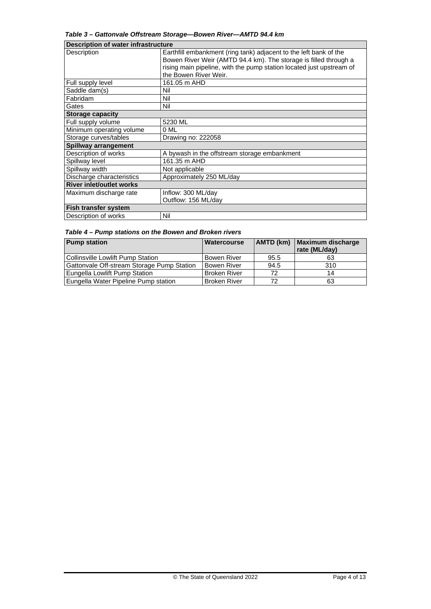| Table 3 - Gattonvale Offstream Storage-Bowen River-AMTD 94.4 km |  |  |
|-----------------------------------------------------------------|--|--|
|-----------------------------------------------------------------|--|--|

| Description of water infrastructure |                                                                      |  |
|-------------------------------------|----------------------------------------------------------------------|--|
| Description                         | Earthfill embankment (ring tank) adjacent to the left bank of the    |  |
|                                     | Bowen River Weir (AMTD 94.4 km). The storage is filled through a     |  |
|                                     | rising main pipeline, with the pump station located just upstream of |  |
|                                     | the Bowen River Weir.                                                |  |
| Full supply level                   | 161.05 m AHD                                                         |  |
| Saddle dam(s)                       | Nil                                                                  |  |
| Fabridam                            | Nil                                                                  |  |
| Gates                               | Nil                                                                  |  |
| <b>Storage capacity</b>             |                                                                      |  |
| Full supply volume                  | 5230 ML                                                              |  |
| Minimum operating volume            | 0 ML                                                                 |  |
| Storage curves/tables               | Drawing no: 222058                                                   |  |
| Spillway arrangement                |                                                                      |  |
| Description of works                | A bywash in the offstream storage embankment                         |  |
| Spillway level                      | 161.35 m AHD                                                         |  |
| Spillway width                      | Not applicable                                                       |  |
| Discharge characteristics           | Approximately 250 ML/day                                             |  |
| <b>River inlet/outlet works</b>     |                                                                      |  |
| Maximum discharge rate              | Inflow: 300 ML/day                                                   |  |
|                                     | Outflow: 156 ML/day                                                  |  |
| <b>Fish transfer system</b>         |                                                                      |  |
| Description of works                | Nil                                                                  |  |

#### *Table 4 – Pump stations on the Bowen and Broken rivers*

| <b>Pump station</b>                        | <b>Watercourse</b>  |      | AMTD (km) Maximum discharge<br>rate (ML/day) |
|--------------------------------------------|---------------------|------|----------------------------------------------|
| Collinsville Lowlift Pump Station          | <b>Bowen River</b>  | 95.5 | 63                                           |
| Gattonvale Off-stream Storage Pump Station | Bowen River         | 94.5 | 310                                          |
| Eungella Lowlift Pump Station              | <b>Broken River</b> | 72   | 14                                           |
| Eungella Water Pipeline Pump station       | <b>Broken River</b> | 72   | 63                                           |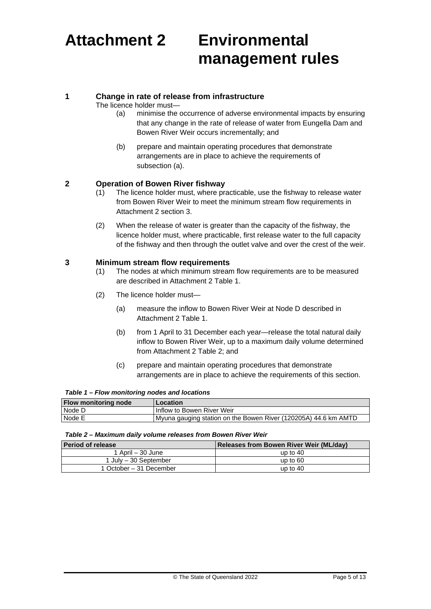# **Attachment 2 Environmental management rules**

#### **1 Change in rate of release from infrastructure**

The licence holder must—

- (a) minimise the occurrence of adverse environmental impacts by ensuring that any change in the rate of release of water from Eungella Dam and Bowen River Weir occurs incrementally; and
- (b) prepare and maintain operating procedures that demonstrate arrangements are in place to achieve the requirements of subsection (a).

#### **2 Operation of Bowen River fishway**

- (1) The licence holder must, where practicable, use the fishway to release water from Bowen River Weir to meet the minimum stream flow requirements in Attachment 2 section 3.
- (2) When the release of water is greater than the capacity of the fishway, the licence holder must, where practicable, first release water to the full capacity of the fishway and then through the outlet valve and over the crest of the weir.

#### **3 Minimum stream flow requirements**

- (1) The nodes at which minimum stream flow requirements are to be measured are described in Attachment 2 Table 1.
- (2) The licence holder must—
	- (a) measure the inflow to Bowen River Weir at Node D described in Attachment 2 Table 1.
	- (b) from 1 April to 31 December each year—release the total natural daily inflow to Bowen River Weir, up to a maximum daily volume determined from Attachment 2 Table 2; and
	- (c) prepare and maintain operating procedures that demonstrate arrangements are in place to achieve the requirements of this section.

#### *Table 1 – Flow monitoring nodes and locations*

| Flow monitoring node | Location                                                        |
|----------------------|-----------------------------------------------------------------|
| Node D               | <b>Inflow to Bowen River Weir</b>                               |
| Node E               | Myuna gauging station on the Bowen River (120205A) 44.6 km AMTD |

#### *Table 2 – Maximum daily volume releases from Bowen River Weir*

| <b>Period of release</b> | <b>Releases from Bowen River Weir (ML/day)</b> |
|--------------------------|------------------------------------------------|
| 1 April – 30 June        | up to $40$                                     |
| 1 July - 30 September    | up to $60$                                     |
| 1 October – 31 December  | up to $40$                                     |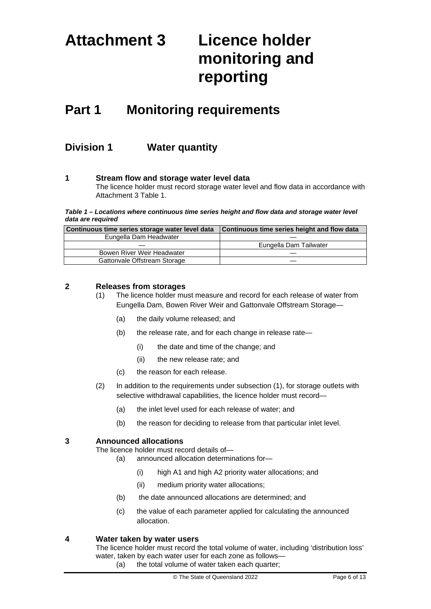# **Attachment 3 Licence holder monitoring and reporting**

## **Part 1 Monitoring requirements**

### **Division 1 Water quantity**

#### **1 Stream flow and storage water level data**

The licence holder must record storage water level and flow data in accordance with Attachment 3 Table 1.

#### *Table 1 – Locations where continuous time series height and flow data and storage water level data are required*

| Continuous time series storage water level data | Continuous time series height and flow data |
|-------------------------------------------------|---------------------------------------------|
| Eungella Dam Headwater                          |                                             |
|                                                 | Eungella Dam Tailwater                      |
| Bowen River Weir Headwater                      |                                             |
| Gattonvale Offstream Storage                    |                                             |

#### **2 Releases from storages**

- (1) The licence holder must measure and record for each release of water from Eungella Dam, Bowen River Weir and Gattonvale Offstream Storage—
	- (a) the daily volume released; and
	- (b) the release rate, and for each change in release rate—
		- (i) the date and time of the change; and
		- (ii) the new release rate; and
	- (c) the reason for each release.
- (2) In addition to the requirements under subsection (1), for storage outlets with selective withdrawal capabilities, the licence holder must record—
	- (a) the inlet level used for each release of water; and
	- (b) the reason for deciding to release from that particular inlet level.

#### **3 Announced allocations**

The licence holder must record details of—

- (a) announced allocation determinations for—
	- (i) high A1 and high A2 priority water allocations; and
	- (ii) medium priority water allocations;
- (b) the date announced allocations are determined; and
- (c) the value of each parameter applied for calculating the announced allocation.

#### **4 Water taken by water users**

The licence holder must record the total volume of water, including 'distribution loss' water, taken by each water user for each zone as follows— (a) the total volume of water taken each quarter;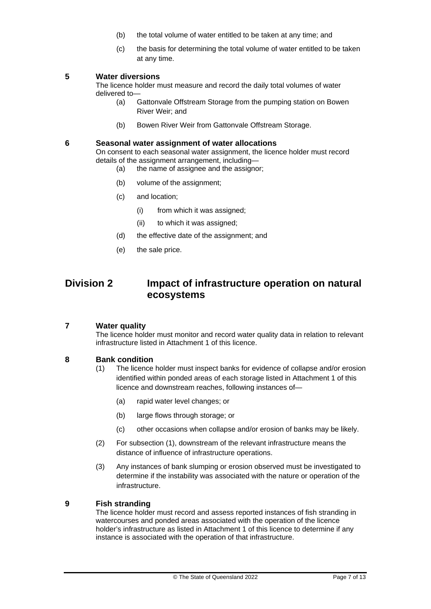- (b) the total volume of water entitled to be taken at any time; and
- (c) the basis for determining the total volume of water entitled to be taken at any time.

### **5 Water diversions**

The licence holder must measure and record the daily total volumes of water delivered to—

- (a) Gattonvale Offstream Storage from the pumping station on Bowen River Weir; and
- (b) Bowen River Weir from Gattonvale Offstream Storage.

#### **6 Seasonal water assignment of water allocations**

On consent to each seasonal water assignment, the licence holder must record details of the assignment arrangement, including—

- (a) the name of assignee and the assignor;
- (b) volume of the assignment;
- (c) and location;
	- (i) from which it was assigned;
	- (ii) to which it was assigned;
- (d) the effective date of the assignment; and
- (e) the sale price.

### **Division 2 Impact of infrastructure operation on natural ecosystems**

#### **7 Water quality**

The licence holder must monitor and record water quality data in relation to relevant infrastructure listed in Attachment 1 of this licence.

## **8 Bank condition**<br>(1) **The licence**

- The licence holder must inspect banks for evidence of collapse and/or erosion identified within ponded areas of each storage listed in Attachment 1 of this licence and downstream reaches, following instances of—
	- (a) rapid water level changes; or
	- (b) large flows through storage; or
	- (c) other occasions when collapse and/or erosion of banks may be likely.
- (2) For subsection (1), downstream of the relevant infrastructure means the distance of influence of infrastructure operations.
- (3) Any instances of bank slumping or erosion observed must be investigated to determine if the instability was associated with the nature or operation of the infrastructure.

#### **9 Fish stranding**

The licence holder must record and assess reported instances of fish stranding in watercourses and ponded areas associated with the operation of the licence holder's infrastructure as listed in Attachment 1 of this licence to determine if any instance is associated with the operation of that infrastructure.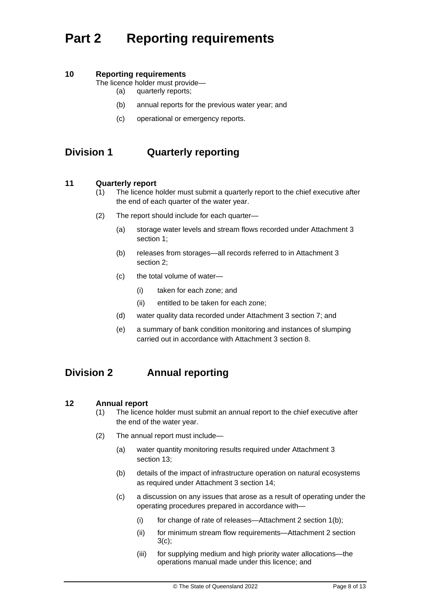## **Part 2 Reporting requirements**

### **10 Reporting requirements**

The licence holder must provide—

- (a) quarterly reports;
- (b) annual reports for the previous water year; and
- (c) operational or emergency reports.

### **Division 1 Quarterly reporting**

#### **11 Quarterly report**

- (1) The licence holder must submit a quarterly report to the chief executive after the end of each quarter of the water year.
- (2) The report should include for each quarter—
	- (a) storage water levels and stream flows recorded under Attachment 3 section 1;
	- (b) releases from storages—all records referred to in Attachment 3 section 2;
	- (c) the total volume of water—
		- (i) taken for each zone; and
		- (ii) entitled to be taken for each zone;
	- (d) water quality data recorded under Attachment 3 section 7; and
	- (e) a summary of bank condition monitoring and instances of slumping carried out in accordance with Attachment 3 section 8.

### **Division 2 Annual reporting**

#### **12 Annual report**

- (1) The licence holder must submit an annual report to the chief executive after the end of the water year.
- (2) The annual report must include—
	- (a) water quantity monitoring results required under Attachment 3 section 13;
	- (b) details of the impact of infrastructure operation on natural ecosystems as required under Attachment 3 section 14;
	- (c) a discussion on any issues that arose as a result of operating under the operating procedures prepared in accordance with—
		- (i) for change of rate of releases—Attachment 2 section 1(b);
		- (ii) for minimum stream flow requirements—Attachment 2 section  $3(c)$ ;
		- (iii) for supplying medium and high priority water allocations—the operations manual made under this licence; and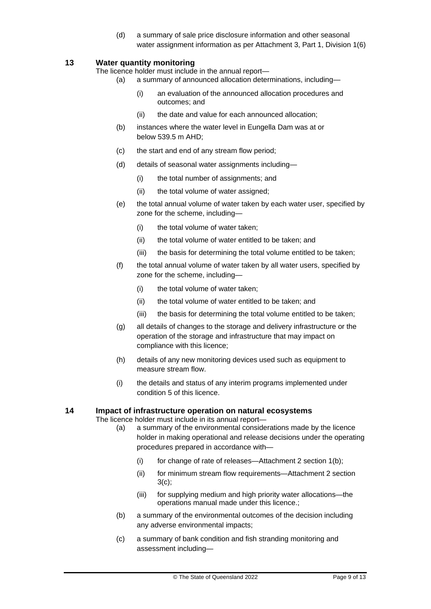(d) a summary of sale price disclosure information and other seasonal water assignment information as per Attachment 3, Part 1, Division 1(6)

#### **13 Water quantity monitoring**

The licence holder must include in the annual report—

- (a) a summary of announced allocation determinations, including—
	- (i) an evaluation of the announced allocation procedures and outcomes; and
	- (ii) the date and value for each announced allocation;
- (b) instances where the water level in Eungella Dam was at or below 539.5 m AHD;
- (c) the start and end of any stream flow period;
- (d) details of seasonal water assignments including—
	- (i) the total number of assignments; and
	- (ii) the total volume of water assigned;
- (e) the total annual volume of water taken by each water user, specified by zone for the scheme, including—
	- (i) the total volume of water taken;
	- (ii) the total volume of water entitled to be taken; and
	- (iii) the basis for determining the total volume entitled to be taken;
- (f) the total annual volume of water taken by all water users, specified by zone for the scheme, including—
	- (i) the total volume of water taken;
	- (ii) the total volume of water entitled to be taken; and
	- (iii) the basis for determining the total volume entitled to be taken;
- (g) all details of changes to the storage and delivery infrastructure or the operation of the storage and infrastructure that may impact on compliance with this licence;
- (h) details of any new monitoring devices used such as equipment to measure stream flow.
- (i) the details and status of any interim programs implemented under condition 5 of this licence.

#### **14 Impact of infrastructure operation on natural ecosystems**

The licence holder must include in its annual report—

- (a) a summary of the environmental considerations made by the licence holder in making operational and release decisions under the operating procedures prepared in accordance with—
	- (i) for change of rate of releases—Attachment 2 section 1(b);
	- (ii) for minimum stream flow requirements—Attachment 2 section 3(c);
	- (iii) for supplying medium and high priority water allocations—the operations manual made under this licence.;
- (b) a summary of the environmental outcomes of the decision including any adverse environmental impacts;
- (c) a summary of bank condition and fish stranding monitoring and assessment including—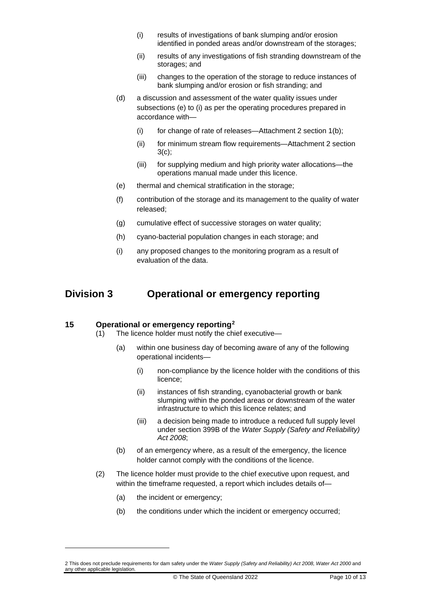- (i) results of investigations of bank slumping and/or erosion identified in ponded areas and/or downstream of the storages;
- (ii) results of any investigations of fish stranding downstream of the storages; and
- (iii) changes to the operation of the storage to reduce instances of bank slumping and/or erosion or fish stranding; and
- (d) a discussion and assessment of the water quality issues under subsections (e) to (i) as per the operating procedures prepared in accordance with—
	- (i) for change of rate of releases—Attachment 2 section 1(b);
	- (ii) for minimum stream flow requirements—Attachment 2 section  $3(c)$ ;
	- (iii) for supplying medium and high priority water allocations—the operations manual made under this licence.
- (e) thermal and chemical stratification in the storage;
- (f) contribution of the storage and its management to the quality of water released;
- (g) cumulative effect of successive storages on water quality;
- (h) cyano-bacterial population changes in each storage; and
- (i) any proposed changes to the monitoring program as a result of evaluation of the data.

### **Division 3 Operational or emergency reporting**

#### **15 Operational or emergency reporting[2](#page-9-0)**

- (1) The licence holder must notify the chief executive—
	- (a) within one business day of becoming aware of any of the following operational incidents—
		- (i) non-compliance by the licence holder with the conditions of this licence;
		- (ii) instances of fish stranding, cyanobacterial growth or bank slumping within the ponded areas or downstream of the water infrastructure to which this licence relates; and
		- (iii) a decision being made to introduce a reduced full supply level under section 399B of the *Water Supply (Safety and Reliability) Act 2008*;
	- (b) of an emergency where, as a result of the emergency, the licence holder cannot comply with the conditions of the licence.
- (2) The licence holder must provide to the chief executive upon request, and within the timeframe requested, a report which includes details of—
	- (a) the incident or emergency;
	- (b) the conditions under which the incident or emergency occurred;

<span id="page-9-0"></span><sup>2</sup> This does not preclude requirements for dam safety under the *Water Supply (Safety and Reliability) Act 2008, Water Act 2000* and any other applicable legislation.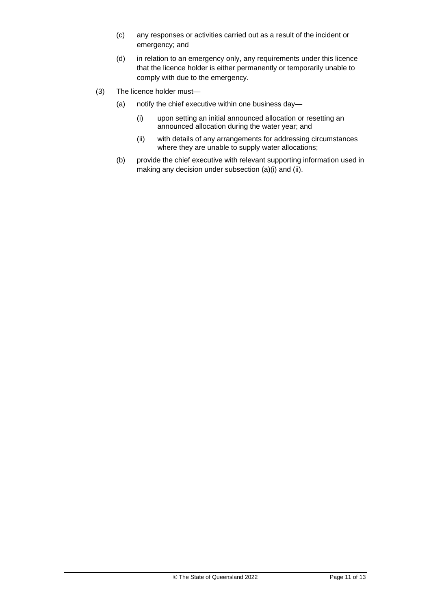- (c) any responses or activities carried out as a result of the incident or emergency; and
- (d) in relation to an emergency only, any requirements under this licence that the licence holder is either permanently or temporarily unable to comply with due to the emergency.
- (3) The licence holder must—
	- (a) notify the chief executive within one business day—
		- (i) upon setting an initial announced allocation or resetting an announced allocation during the water year; and
		- (ii) with details of any arrangements for addressing circumstances where they are unable to supply water allocations;
	- (b) provide the chief executive with relevant supporting information used in making any decision under subsection (a)(i) and (ii).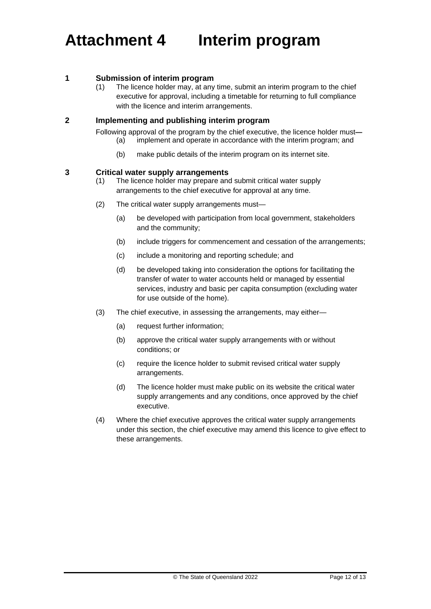## **Attachment 4 Interim program**

#### **1 Submission of interim program**

(1) The licence holder may, at any time, submit an interim program to the chief executive for approval, including a timetable for returning to full compliance with the licence and interim arrangements.

#### **2 Implementing and publishing interim program**

Following approval of the program by the chief executive, the licence holder must**—** (a) implement and operate in accordance with the interim program; and

(b) make public details of the interim program on its internet site.

#### **3 Critical water supply arrangements**

- (1) The licence holder may prepare and submit critical water supply arrangements to the chief executive for approval at any time.
- (2) The critical water supply arrangements must—
	- (a) be developed with participation from local government, stakeholders and the community;
	- (b) include triggers for commencement and cessation of the arrangements;
	- (c) include a monitoring and reporting schedule; and
	- (d) be developed taking into consideration the options for facilitating the transfer of water to water accounts held or managed by essential services, industry and basic per capita consumption (excluding water for use outside of the home).
- (3) The chief executive, in assessing the arrangements, may either—
	- (a) request further information;
	- (b) approve the critical water supply arrangements with or without conditions; or
	- (c) require the licence holder to submit revised critical water supply arrangements.
	- (d) The licence holder must make public on its website the critical water supply arrangements and any conditions, once approved by the chief executive.
- (4) Where the chief executive approves the critical water supply arrangements under this section, the chief executive may amend this licence to give effect to these arrangements.